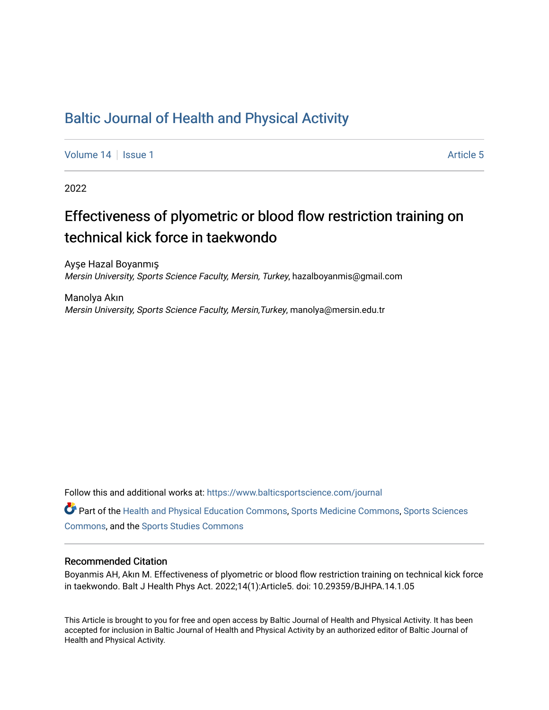## [Baltic Journal of Health and Physical Activity](https://www.balticsportscience.com/journal)

[Volume 14](https://www.balticsportscience.com/journal/vol14) Suitsue 1 Article 5

2022

# Effectiveness of plyometric or blood flow restriction training on technical kick force in taekwondo

Ayşe Hazal Boyanmış Mersin University, Sports Science Faculty, Mersin, Turkey, hazalboyanmis@gmail.com

Manolya Akın Mersin University, Sports Science Faculty, Mersin,Turkey, manolya@mersin.edu.tr

Follow this and additional works at: [https://www.balticsportscience.com/journal](https://www.balticsportscience.com/journal?utm_source=www.balticsportscience.com%2Fjournal%2Fvol14%2Fiss1%2F5&utm_medium=PDF&utm_campaign=PDFCoverPages) 

Part of the [Health and Physical Education Commons](https://network.bepress.com/hgg/discipline/1327?utm_source=www.balticsportscience.com%2Fjournal%2Fvol14%2Fiss1%2F5&utm_medium=PDF&utm_campaign=PDFCoverPages), [Sports Medicine Commons,](https://network.bepress.com/hgg/discipline/1331?utm_source=www.balticsportscience.com%2Fjournal%2Fvol14%2Fiss1%2F5&utm_medium=PDF&utm_campaign=PDFCoverPages) [Sports Sciences](https://network.bepress.com/hgg/discipline/759?utm_source=www.balticsportscience.com%2Fjournal%2Fvol14%2Fiss1%2F5&utm_medium=PDF&utm_campaign=PDFCoverPages) [Commons](https://network.bepress.com/hgg/discipline/759?utm_source=www.balticsportscience.com%2Fjournal%2Fvol14%2Fiss1%2F5&utm_medium=PDF&utm_campaign=PDFCoverPages), and the [Sports Studies Commons](https://network.bepress.com/hgg/discipline/1198?utm_source=www.balticsportscience.com%2Fjournal%2Fvol14%2Fiss1%2F5&utm_medium=PDF&utm_campaign=PDFCoverPages) 

## Recommended Citation

Boyanmis AH, Akın M. Effectiveness of plyometric or blood flow restriction training on technical kick force in taekwondo. Balt J Health Phys Act. 2022;14(1):Article5. doi: 10.29359/BJHPA.14.1.05

This Article is brought to you for free and open access by Baltic Journal of Health and Physical Activity. It has been accepted for inclusion in Baltic Journal of Health and Physical Activity by an authorized editor of Baltic Journal of Health and Physical Activity.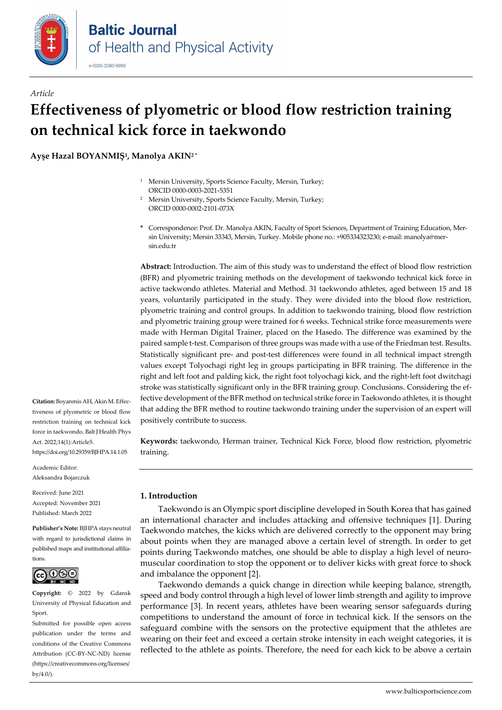

## *Article* **Effectiveness of plyometric or blood flow restriction training on technical kick force in taekwondo**

**Ayşe Hazal BOYANMIŞ1, Manolya AKIN<sup>2</sup> \***

- <sup>1</sup> Mersin University, Sports Science Faculty, Mersin, Turkey; ORCID [0000-0003-2021-5351](https://orcid.org/0000-0003-2021-5351)
- <sup>2</sup> Mersin University, Sports Science Faculty, Mersin, Turkey; ORCI[D 0000-0002-2101-073X](https://orcid.org/0000-0002-2101-073X)
- **\*** Correspondence: Prof. Dr. Manolya AKIN, Faculty of Sport Sciences, Department of Training Education, Mersin University; Mersin 33343, Mersin, Turkey. Mobile phone no.: +905334323230; e-mail: manolya@mersin.edu.tr

**Abstract:** Introduction. The aim of this study was to understand the effect of blood flow restriction (BFR) and plyometric training methods on the development of taekwondo technical kick force in active taekwondo athletes. Material and Method. 31 taekwondo athletes, aged between 15 and 18 years, voluntarily participated in the study. They were divided into the blood flow restriction, plyometric training and control groups. In addition to taekwondo training, blood flow restriction and plyometric training group were trained for 6 weeks. Technical strike force measurements were made with Herman Digital Trainer, placed on the Hasedo. The difference was examined by the paired sample t-test. Comparison of three groups was made with a use of the Friedman test. Results. Statistically significant pre- and post-test differences were found in all technical impact strength values except Tolyochagi right leg in groups participating in BFR training. The difference in the right and left foot and palding kick, the right foot tolyochagi kick, and the right-left foot dwitchagi stroke was statistically significant only in the BFR training group. Conclusions. Considering the effective development of the BFR method on technical strike force in Taekwondo athletes, it is thought that adding the BFR method to routine taekwondo training under the supervision of an expert will positively contribute to success.

**Keywords:** taekwondo, Herman trainer, Technical Kick Force, blood flow restriction, plyometric training.

### **1. Introduction**

Taekwondo is an Olympic sport discipline developed in South Korea that has gained an international character and includes attacking and offensive techniques [1]. During Taekwondo matches, the kicks which are delivered correctly to the opponent may bring about points when they are managed above a certain level of strength. In order to get points during Taekwondo matches, one should be able to display a high level of neuromuscular coordination to stop the opponent or to deliver kicks with great force to shock and imbalance the opponent [2].

Taekwondo demands a quick change in direction while keeping balance, strength, speed and body control through a high level of lower limb strength and agility to improve performance [3]. In recent years, athletes have been wearing sensor safeguards during competitions to understand the amount of force in technical kick. If the sensors on the safeguard combine with the sensors on the protective equipment that the athletes are wearing on their feet and exceed a certain stroke intensity in each weight categories, it is reflected to the athlete as points. Therefore, the need for each kick to be above a certain

**Citation:** Boyanmis AH, Akin M. Effectiveness of plyometric or blood flow restriction training on technical kick force in taekwondo. Balt J Health Phys Act. 2022;14(1):Article5. https://doi.org/10.29359/BJHPA.14.1.05

Academic Editor: Aleksandra Bojarczuk

Received: June 2021 Accepted: November 2021 Published: March 2022

**Publisher's Note:** BJHPA stays neutral with regard to jurisdictional claims in published maps and institutional affiliations.



**Copyright:** © 2022 by Gdansk University of Physical Education and Sport.

Submitted for possible open access publication under the terms and conditions of the Creative Commons Attribution (CC-BY-NC-ND) license (https://creativecommons.org/licenses/ by/4.0/).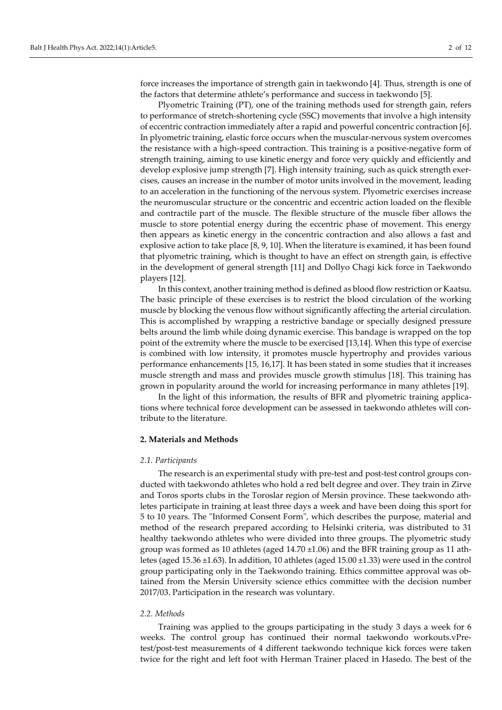force increases the importance of strength gain in taekwondo [4]. Thus, strength is one of the factors that determine athlete's performance and success in taekwondo [5].

Plyometric Training (PT), one of the training methods used for strength gain, refers to performance of stretch-shortening cycle (SSC) movements that involve a high intensity of eccentric contraction immediately after a rapid and powerful concentric contraction [6]. In plyometric training, elastic force occurs when the muscular-nervous system overcomes the resistance with a high-speed contraction. This training is a positive-negative form of strength training, aiming to use kinetic energy and force very quickly and efficiently and develop explosive jump strength [7]. High intensity training, such as quick strength exercises, causes an increase in the number of motor units involved in the movement, leading to an acceleration in the functioning of the nervous system. Plyometric exercises increase the neuromuscular structure or the concentric and eccentric action loaded on the flexible and contractile part of the muscle. The flexible structure of the muscle fiber allows the muscle to store potential energy during the eccentric phase of movement. This energy then appears as kinetic energy in the concentric contraction and also allows a fast and explosive action to take place [8, 9, 10]. When the literature is examined, it has been found that plyometric training, which is thought to have an effect on strength gain, is effective in the development of general strength [11] and Dollyo Chagi kick force in Taekwondo players [12].

In this context, another training method is defined as blood flow restriction or Kaatsu. The basic principle of these exercises is to restrict the blood circulation of the working muscle by blocking the venous flow without significantly affecting the arterial circulation. This is accomplished by wrapping a restrictive bandage or specially designed pressure belts around the limb while doing dynamic exercise. This bandage is wrapped on the top point of the extremity where the muscle to be exercised [13,14]. When this type of exercise is combined with low intensity, it promotes muscle hypertrophy and provides various performance enhancements [15, 16,17]. It has been stated in some studies that it increases muscle strength and mass and provides muscle growth stimulus [18]. This training has grown in popularity around the world for increasing performance in many athletes [19].

In the light of this information, the results of BFR and plyometric training applications where technical force development can be assessed in taekwondo athletes will contribute to the literature.

#### **2. Materials and Methods**

#### *2.1. Participants*

The research is an experimental study with pre-test and post-test control groups conducted with taekwondo athletes who hold a red belt degree and over. They train in Zirve and Toros sports clubs in the Toroslar region of Mersin province. These taekwondo athletes participate in training at least three days a week and have been doing this sport for 5 to 10 years. The "Informed Consent Form", which describes the purpose, material and method of the research prepared according to Helsinki criteria, was distributed to 31 healthy taekwondo athletes who were divided into three groups. The plyometric study group was formed as 10 athletes (aged 14.70 ±1.06) and the BFR training group as 11 athletes (aged 15.36 ±1.63). In addition, 10 athletes (aged 15.00 ±1.33) were used in the control group participating only in the Taekwondo training. Ethics committee approval was obtained from the Mersin University science ethics committee with the decision number 2017/03. Participation in the research was voluntary.

### *2.2. Methods*

Training was applied to the groups participating in the study 3 days a week for 6 weeks. The control group has continued their normal taekwondo workouts.vPretest/post-test measurements of 4 different taekwondo technique kick forces were taken twice for the right and left foot with Herman Trainer placed in Hasedo. The best of the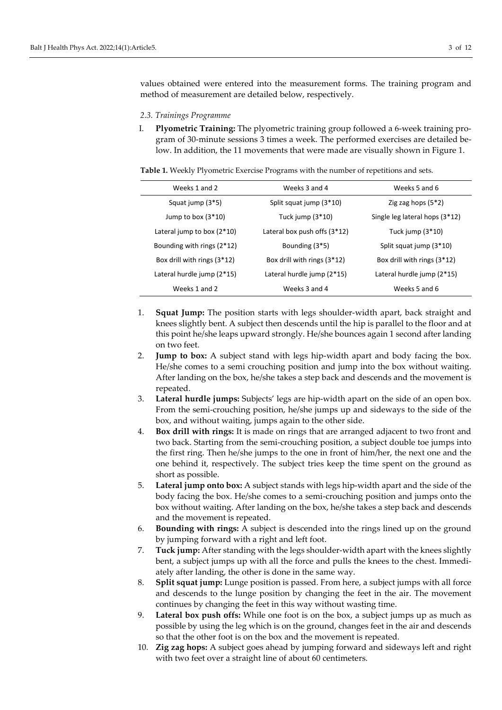values obtained were entered into the measurement forms. The training program and method of measurement are detailed below, respectively.

#### *2.3. Trainings Programme*

I. **Plyometric Training:** The plyometric training group followed a 6-week training program of 30-minute sessions 3 times a week. The performed exercises are detailed below. In addition, the 11 movements that were made are visually shown in Figure 1.

**Table 1.** Weekly Plyometric Exercise Programs with the number of repetitions and sets.

| Weeks 1 and 2                | Weeks 3 and 4                  | Weeks 5 and 6                  |
|------------------------------|--------------------------------|--------------------------------|
| Squat jump (3*5)             | Split squat jump (3*10)        | Zig zag hops $(5*2)$           |
| Jump to box $(3*10)$         | Tuck jump $(3*10)$             | Single leg lateral hops (3*12) |
| Lateral jump to box $(2*10)$ | Lateral box push offs $(3*12)$ | Tuck jump $(3*10)$             |
| Bounding with rings $(2*12)$ | Bounding (3*5)                 | Split squat jump (3*10)        |
| Box drill with rings (3*12)  | Box drill with rings (3*12)    | Box drill with rings $(3*12)$  |
| Lateral hurdle jump (2*15)   | Lateral hurdle jump (2*15)     | Lateral hurdle jump (2*15)     |
| Weeks 1 and 2                | Weeks 3 and 4                  | Weeks 5 and 6                  |

- 1. **Squat Jump:** The position starts with legs shoulder-width apart, back straight and knees slightly bent. A subject then descends until the hip is parallel to the floor and at this point he/she leaps upward strongly. He/she bounces again 1 second after landing on two feet.
- 2. **Jump to box:** A subject stand with legs hip-width apart and body facing the box. He/she comes to a semi crouching position and jump into the box without waiting. After landing on the box, he/she takes a step back and descends and the movement is repeated.
- 3. **Lateral hurdle jumps:** Subjects' legs are hip-width apart on the side of an open box. From the semi-crouching position, he/she jumps up and sideways to the side of the box, and without waiting, jumps again to the other side.
- 4. **Box drill with rings:** It is made on rings that are arranged adjacent to two front and two back. Starting from the semi-crouching position, a subject double toe jumps into the first ring. Then he/she jumps to the one in front of him/her, the next one and the one behind it, respectively. The subject tries keep the time spent on the ground as short as possible.
- 5. **Lateral jump onto box:** A subject stands with legs hip-width apart and the side of the body facing the box. He/she comes to a semi-crouching position and jumps onto the box without waiting. After landing on the box, he/she takes a step back and descends and the movement is repeated.
- 6. **Bounding with rings:** A subject is descended into the rings lined up on the ground by jumping forward with a right and left foot.
- 7. **Tuck jump:** After standing with the legs shoulder-width apart with the knees slightly bent, a subject jumps up with all the force and pulls the knees to the chest. Immediately after landing, the other is done in the same way.
- 8. **Split squat jump:** Lunge position is passed. From here, a subject jumps with all force and descends to the lunge position by changing the feet in the air. The movement continues by changing the feet in this way without wasting time.
- 9. **Lateral box push offs:** While one foot is on the box, a subject jumps up as much as possible by using the leg which is on the ground, changes feet in the air and descends so that the other foot is on the box and the movement is repeated.
- 10. **Zig zag hops:** A subject goes ahead by jumping forward and sideways left and right with two feet over a straight line of about 60 centimeters.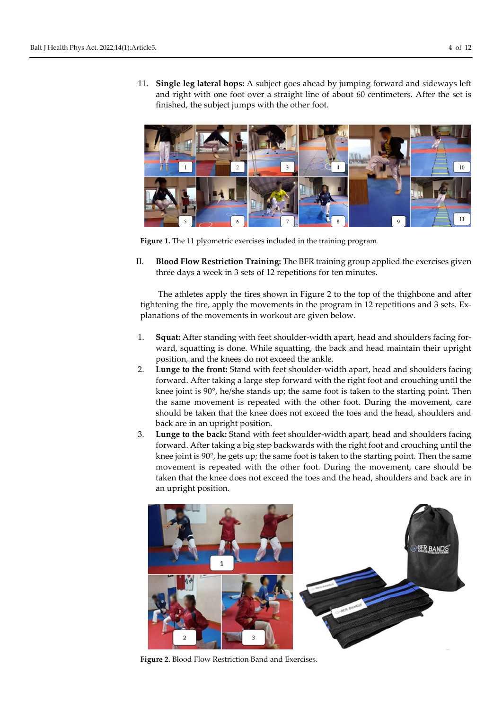11. **Single leg lateral hops:** A subject goes ahead by jumping forward and sideways left and right with one foot over a straight line of about 60 centimeters. After the set is finished, the subject jumps with the other foot.



**Figure 1.** The 11 plyometric exercises included in the training program

II. **Blood Flow Restriction Training:** The BFR training group applied the exercises given three days a week in 3 sets of 12 repetitions for ten minutes.

The athletes apply the tires shown in Figure 2 to the top of the thighbone and after tightening the tire, apply the movements in the program in 12 repetitions and 3 sets. Explanations of the movements in workout are given below.

- 1. **Squat:** After standing with feet shoulder-width apart, head and shoulders facing forward, squatting is done. While squatting, the back and head maintain their upright position, and the knees do not exceed the ankle.
- 2. **Lunge to the front:** Stand with feet shoulder-width apart, head and shoulders facing forward. After taking a large step forward with the right foot and crouching until the knee joint is 90°, he/she stands up; the same foot is taken to the starting point. Then the same movement is repeated with the other foot. During the movement, care should be taken that the knee does not exceed the toes and the head, shoulders and back are in an upright position.
- 3. **Lunge to the back:** Stand with feet shoulder-width apart, head and shoulders facing forward. After taking a big step backwards with the right foot and crouching until the knee joint is  $90^{\circ}$ , he gets up; the same foot is taken to the starting point. Then the same movement is repeated with the other foot. During the movement, care should be taken that the knee does not exceed the toes and the head, shoulders and back are in an upright position.



**Figure 2.** Blood Flow Restriction Band and Exercises.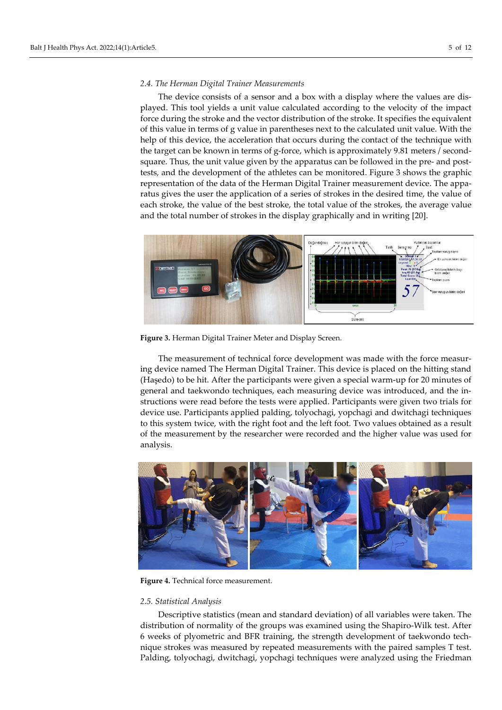#### *2.4. The Herman Digital Trainer Measurements*

The device consists of a sensor and a box with a display where the values are displayed. This tool yields a unit value calculated according to the velocity of the impact force during the stroke and the vector distribution of the stroke. It specifies the equivalent of this value in terms of g value in parentheses next to the calculated unit value. With the help of this device, the acceleration that occurs during the contact of the technique with the target can be known in terms of g-force, which is approximately 9.81 meters / secondsquare. Thus, the unit value given by the apparatus can be followed in the pre- and posttests, and the development of the athletes can be monitored. Figure 3 shows the graphic representation of the data of the Herman Digital Trainer measurement device. The apparatus gives the user the application of a series of strokes in the desired time, the value of each stroke, the value of the best stroke, the total value of the strokes, the average value and the total number of strokes in the display graphically and in writing [20].



**Figure 3.** Herman Digital Trainer Meter and Display Screen.

The measurement of technical force development was made with the force measuring device named The Herman Digital Trainer. This device is placed on the hitting stand (Haşedo) to be hit. After the participants were given a special warm-up for 20 minutes of general and taekwondo techniques, each measuring device was introduced, and the instructions were read before the tests were applied. Participants were given two trials for device use. Participants applied palding, tolyochagi, yopchagi and dwitchagi techniques to this system twice, with the right foot and the left foot. Two values obtained as a result of the measurement by the researcher were recorded and the higher value was used for analysis.



**Figure 4.** Technical force measurement.

#### *2.5. Statistical Analysis*

Descriptive statistics (mean and standard deviation) of all variables were taken. The distribution of normality of the groups was examined using the Shapiro-Wilk test. After 6 weeks of plyometric and BFR training, the strength development of taekwondo technique strokes was measured by repeated measurements with the paired samples T test. Palding, tolyochagi, dwitchagi, yopchagi techniques were analyzed using the Friedman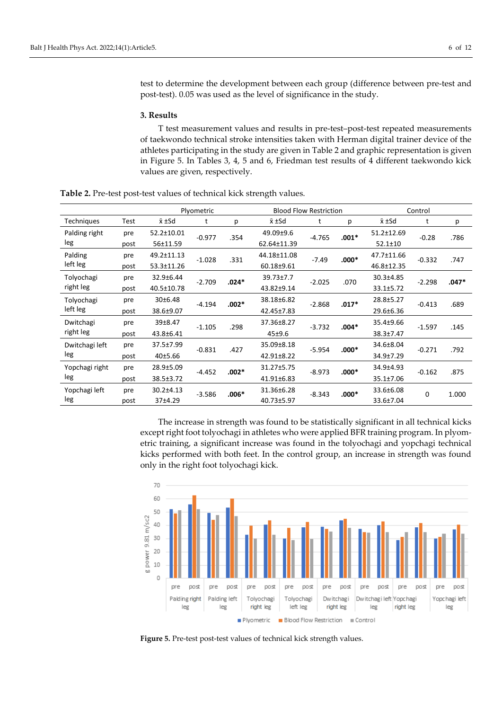test to determine the development between each group (difference between pre-test and post-test). 0.05 was used as the level of significance in the study.

#### **3. Results**

T test measurement values and results in pre-test–post-test repeated measurements of taekwondo technical stroke intensities taken with Herman digital trainer device of the athletes participating in the study are given in Table 2 and graphic representation is given in Figure 5. In Tables 3, 4, 5 and 6, Friedman test results of 4 different taekwondo kick values are given, respectively.

**Table 2.** Pre-test post-test values of technical kick strength values.

|                   |      | Plyometric      |          |         | <b>Blood Flow Restriction</b> |                      |         | Control       |          |         |
|-------------------|------|-----------------|----------|---------|-------------------------------|----------------------|---------|---------------|----------|---------|
| <b>Techniques</b> | Test | $\bar{x}$ ±Sd   | t        | р       | x ±Sd                         | t                    | р       | x ±Sd         | t        | p       |
| Palding right     | pre  | 52.2±10.01      | $-0.977$ | .354    | 49.09±9.6                     | $-4.765$             | $.001*$ | 51.2±12.69    | $-0.28$  | .786    |
| leg               | post | 56±11.59        |          |         | 62.64±11.39                   |                      |         | $52.1 \pm 10$ |          |         |
| Palding           | pre  | 49.2±11.13      | $-1.028$ | .331    | 44.18±11.08                   | $-7.49$              | $.000*$ | 47.7±11.66    | $-0.332$ | .747    |
| left leg          | post | 53.3±11.26      |          |         | 60.18±9.61                    |                      |         | 46.8±12.35    |          |         |
| Tolyochagi        | pre  | 32.9±6.44       | $-2.709$ | $.024*$ | 39.73±7.7                     | $-2.025$             | .070    | 30.3±4.85     | $-2.298$ | $.047*$ |
| right leg         | post | 40.5±10.78      |          |         | 43.82±9.14                    |                      |         | 33.1±5.72     |          |         |
| Tolyochagi        | pre  | 30±6.48         | $-4.194$ | $.002*$ | 38.18±6.82                    | $-2.868$             | $.017*$ | 28.8±5.27     | $-0.413$ | .689    |
| left leg          | post | 38.6±9.07       |          |         | 42.45±7.83                    |                      |         | 29.6±6.36     |          |         |
| Dwitchagi         | pre  | 39±8.47         | $-1.105$ | .298    | 37.36±8.27                    | $-3.732$             | $.004*$ | 35.4±9.66     | $-1.597$ | .145    |
| right leg         | post | 43.8±6.41       |          |         | $45 + 9.6$                    |                      |         | 38.3±7.47     |          |         |
| Dwitchagi left    | pre  | 37.5±7.99       | $-0.831$ | .427    | 35.09±8.18                    | $-5.954$             | $.000*$ | 34.6±8.04     | $-0.271$ | .792    |
| leg               | post | 40±5.66         |          |         | 42.91±8.22                    |                      |         | 34.9±7.29     |          |         |
| Yopchagi right    | pre  | 28.9±5.09       | $-4.452$ | $.002*$ | 31.27±5.75                    | $-8.973$             | $.000*$ | 34.9±4.93     | $-0.162$ | .875    |
| leg               | post | 38.5±3.72       |          |         | 41.91±6.83                    |                      |         | 35.1±7.06     |          |         |
| Yopchagi left     | pre  | $30.2 \pm 4.13$ | $-3.586$ | $.006*$ | 31.36±6.28<br>$-8.343$        | 33.6±6.08<br>$.000*$ | 0       | 1.000         |          |         |
| leg               | post | 37±4.29         |          |         | 40.73±5.97                    |                      |         | 33.6±7.04     |          |         |

The increase in strength was found to be statistically significant in all technical kicks except right foot tolyochagi in athletes who were applied BFR training program. In plyometric training, a significant increase was found in the tolyochagi and yopchagi technical kicks performed with both feet. In the control group, an increase in strength was found only in the right foot tolyochagi kick.



**Figure 5.** Pre-test post-test values of technical kick strength values.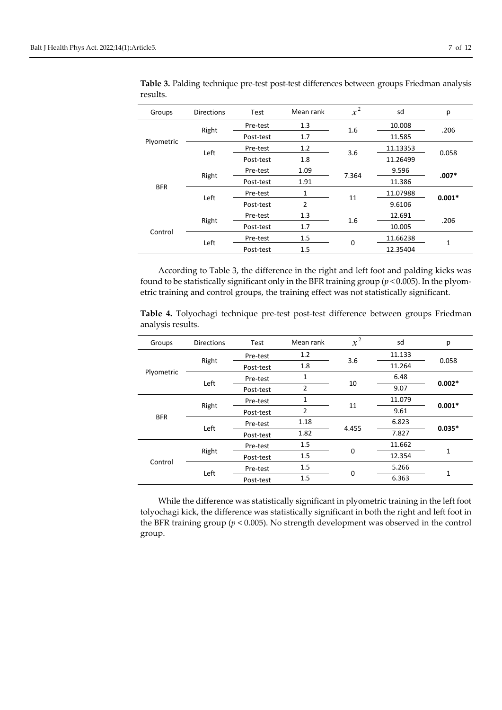| Groups     | <b>Directions</b> | Test      | Mean rank      | $x^2$ | sd       | p        |
|------------|-------------------|-----------|----------------|-------|----------|----------|
|            |                   | Pre-test  | 1.3            | 1.6   | 10.008   | .206     |
|            | Right             | Post-test | 1.7            |       | 11.585   |          |
| Plyometric | Left              | Pre-test  | 1.2            | 3.6   | 11.13353 | 0.058    |
|            |                   | Post-test | 1.8            |       | 11.26499 |          |
| <b>BFR</b> | Right             | Pre-test  | 1.09           | 7.364 | 9.596    | $.007*$  |
|            |                   | Post-test | 1.91           |       | 11.386   |          |
|            | Left              | Pre-test  | 1              | 11    | 11.07988 | $0.001*$ |
|            |                   | Post-test | $\overline{2}$ |       | 9.6106   |          |
| Control    | Right             | Pre-test  | 1.3            | 1.6   | 12.691   | .206     |
|            |                   | Post-test | 1.7            |       | 10.005   |          |
|            |                   | Pre-test  | 1.5            | 0     | 11.66238 | 1        |
|            | Left              | Post-test | 1.5            |       | 12.35404 |          |

**Table 3.** Palding technique pre-test post-test differences between groups Friedman analysis results.

According to Table 3, the difference in the right and left foot and palding kicks was found to be statistically significant only in the BFR training group (*p* < 0.005). In the plyometric training and control groups, the training effect was not statistically significant.

**Table 4.** Tolyochagi technique pre-test post-test difference between groups Friedman analysis results.

| Groups     | <b>Directions</b> | Test      | Mean rank      | $x^2$ | sd     | p        |
|------------|-------------------|-----------|----------------|-------|--------|----------|
| Plyometric |                   | Pre-test  | 1.2            | 3.6   | 11.133 | 0.058    |
|            | Right             | Post-test | 1.8            |       | 11.264 |          |
|            |                   | Pre-test  | 1              |       | 6.48   |          |
|            | Left              | Post-test | $\overline{2}$ | 10    | 9.07   | $0.002*$ |
|            |                   | Pre-test  | 1              | 11    | 11.079 | $0.001*$ |
|            | Right             | Post-test | $\overline{2}$ |       | 9.61   |          |
| <b>BFR</b> | Left              | Pre-test  | 1.18           | 4.455 | 6.823  | $0.035*$ |
|            |                   | Post-test | 1.82           |       | 7.827  |          |
| Control    |                   | Pre-test  | 1.5            | 0     | 11.662 | 1        |
|            | Right             | Post-test | 1.5            |       | 12.354 |          |
|            |                   | Pre-test  | 1.5            |       | 5.266  |          |
|            | Left              | Post-test | 1.5            | 0     | 6.363  | 1        |

While the difference was statistically significant in plyometric training in the left foot tolyochagi kick, the difference was statistically significant in both the right and left foot in the BFR training group (*p* < 0.005). No strength development was observed in the control group.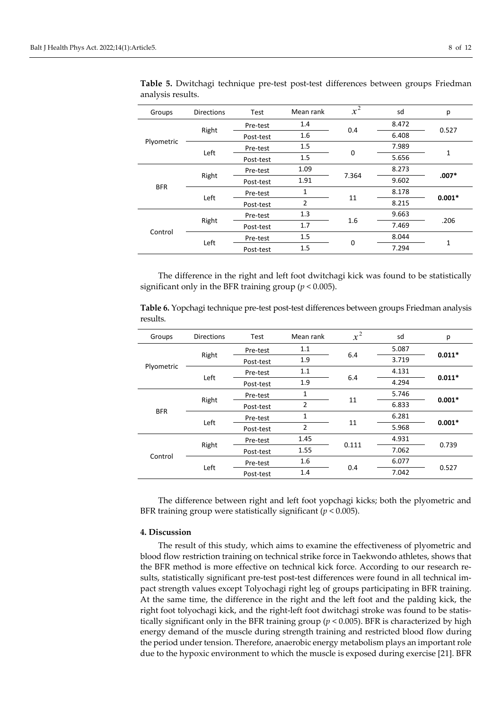| Groups     | <b>Directions</b> | Test      | Mean rank      | $\overline{x^2}$ | sd    | p        |
|------------|-------------------|-----------|----------------|------------------|-------|----------|
| Plyometric |                   | Pre-test  | 1.4            | 0.4              | 8.472 | 0.527    |
|            | Right             | Post-test | 1.6            |                  | 6.408 |          |
|            |                   | Pre-test  | 1.5            |                  | 7.989 | 1        |
|            | Left              | Post-test | 1.5            | 0                | 5.656 |          |
| <b>BFR</b> | Right             | Pre-test  | 1.09           | 7.364            | 8.273 | $.007*$  |
|            |                   | Post-test | 1.91           |                  | 9.602 |          |
|            | Left              | Pre-test  | 1              | 11               | 8.178 | $0.001*$ |
|            |                   | Post-test | $\overline{2}$ |                  | 8.215 |          |
| Control    | Right             | Pre-test  | 1.3            | 1.6              | 9.663 | .206     |
|            |                   | Post-test | 1.7            |                  | 7.469 |          |
|            |                   | Pre-test  | 1.5            | 0                | 8.044 | 1        |
|            | Left              | Post-test | 1.5            |                  | 7.294 |          |

**Table 5.** Dwitchagi technique pre-test post-test differences between groups Friedman analysis results.

The difference in the right and left foot dwitchagi kick was found to be statistically significant only in the BFR training group (*p* < 0.005).

**Table 6.** Yopchagi technique pre-test post-test differences between groups Friedman analysis results.

| Groups     | <b>Directions</b> | Test      | Mean rank      | $x^2$ | sd    | p        |
|------------|-------------------|-----------|----------------|-------|-------|----------|
| Plyometric |                   | Pre-test  | 1.1            | 6.4   | 5.087 | $0.011*$ |
|            | Right             | Post-test | 1.9            |       | 3.719 |          |
|            | Left              | Pre-test  | 1.1            |       | 4.131 | $0.011*$ |
|            |                   | Post-test | 1.9            | 6.4   | 4.294 |          |
| <b>BFR</b> | Right             | Pre-test  | 1              | 11    | 5.746 | $0.001*$ |
|            |                   | Post-test | $\overline{2}$ |       | 6.833 |          |
|            | Left              | Pre-test  | 1              | 11    | 6.281 | $0.001*$ |
|            |                   | Post-test | $\overline{2}$ |       | 5.968 |          |
| Control    |                   | Pre-test  | 1.45           | 0.111 | 4.931 | 0.739    |
|            | Right             | Post-test | 1.55           |       | 7.062 |          |
|            |                   | Pre-test  | 1.6            |       | 6.077 | 0.527    |
|            | Left              | Post-test | 1.4            | 0.4   | 7.042 |          |

The difference between right and left foot yopchagi kicks; both the plyometric and BFR training group were statistically significant (*p* < 0.005).

#### **4. Discussion**

The result of this study, which aims to examine the effectiveness of plyometric and blood flow restriction training on technical strike force in Taekwondo athletes, shows that the BFR method is more effective on technical kick force. According to our research results, statistically significant pre-test post-test differences were found in all technical impact strength values except Tolyochagi right leg of groups participating in BFR training. At the same time, the difference in the right and the left foot and the palding kick, the right foot tolyochagi kick, and the right-left foot dwitchagi stroke was found to be statistically significant only in the BFR training group (*p* < 0.005). BFR is characterized by high energy demand of the muscle during strength training and restricted blood flow during the period under tension. Therefore, anaerobic energy metabolism plays an important role due to the hypoxic environment to which the muscle is exposed during exercise [21]. BFR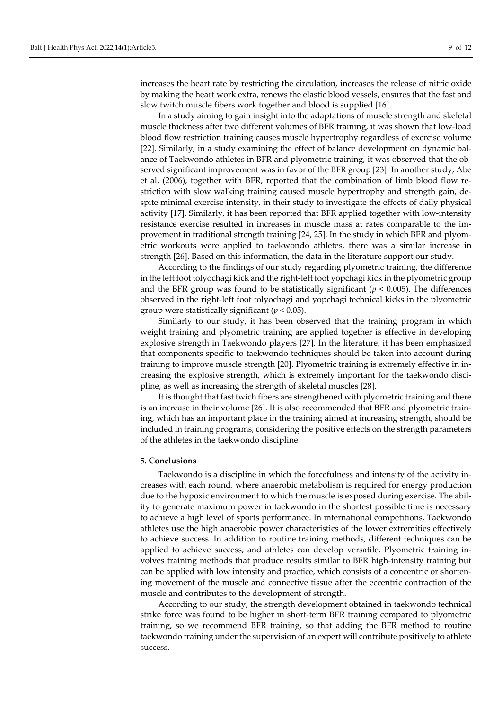increases the heart rate by restricting the circulation, increases the release of nitric oxide by making the heart work extra, renews the elastic blood vessels, ensures that the fast and slow twitch muscle fibers work together and blood is supplied [16].

In a study aiming to gain insight into the adaptations of muscle strength and skeletal muscle thickness after two different volumes of BFR training, it was shown that low-load blood flow restriction training causes muscle hypertrophy regardless of exercise volume [22]. Similarly, in a study examining the effect of balance development on dynamic balance of Taekwondo athletes in BFR and plyometric training, it was observed that the observed significant improvement was in favor of the BFR group [23]. In another study, Abe et al. (2006), together with BFR, reported that the combination of limb blood flow restriction with slow walking training caused muscle hypertrophy and strength gain, despite minimal exercise intensity, in their study to investigate the effects of daily physical activity [17]. Similarly, it has been reported that BFR applied together with low-intensity resistance exercise resulted in increases in muscle mass at rates comparable to the improvement in traditional strength training [24, 25]. In the study in which BFR and plyometric workouts were applied to taekwondo athletes, there was a similar increase in strength [26]. Based on this information, the data in the literature support our study.

According to the findings of our study regarding plyometric training, the difference in the left foot tolyochagi kick and the right-left foot yopchagi kick in the plyometric group and the BFR group was found to be statistically significant ( $p < 0.005$ ). The differences observed in the right-left foot tolyochagi and yopchagi technical kicks in the plyometric group were statistically significant (*p* < 0.05).

Similarly to our study, it has been observed that the training program in which weight training and plyometric training are applied together is effective in developing explosive strength in Taekwondo players [27]. In the literature, it has been emphasized that components specific to taekwondo techniques should be taken into account during training to improve muscle strength [20]. Plyometric training is extremely effective in increasing the explosive strength, which is extremely important for the taekwondo discipline, as well as increasing the strength of skeletal muscles [28].

It is thought that fast twich fibers are strengthened with plyometric training and there is an increase in their volume [26]. It is also recommended that BFR and plyometric training, which has an important place in the training aimed at increasing strength, should be included in training programs, considering the positive effects on the strength parameters of the athletes in the taekwondo discipline.

#### **5. Conclusions**

Taekwondo is a discipline in which the forcefulness and intensity of the activity increases with each round, where anaerobic metabolism is required for energy production due to the hypoxic environment to which the muscle is exposed during exercise. The ability to generate maximum power in taekwondo in the shortest possible time is necessary to achieve a high level of sports performance. In international competitions, Taekwondo athletes use the high anaerobic power characteristics of the lower extremities effectively to achieve success. In addition to routine training methods, different techniques can be applied to achieve success, and athletes can develop versatile. Plyometric training involves training methods that produce results similar to BFR high-intensity training but can be applied with low intensity and practice, which consists of a concentric or shortening movement of the muscle and connective tissue after the eccentric contraction of the muscle and contributes to the development of strength.

According to our study, the strength development obtained in taekwondo technical strike force was found to be higher in short-term BFR training compared to plyometric training, so we recommend BFR training, so that adding the BFR method to routine taekwondo training under the supervision of an expert will contribute positively to athlete success.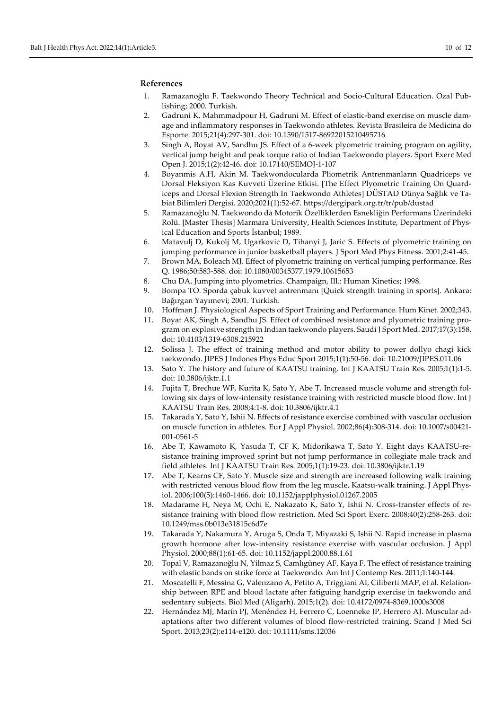#### **References**

- 1. Ramazanoğlu F. Taekwondo Theory Technical and Socio-Cultural Education. Ozal Publishing; 2000. Turkish.
- 2. Gadruni K, Mahmmadpour H, Gadruni M. Effect of elastic-band exercise on muscle damage and inflammatory responses in Taekwondo athletes. Revista Brasileira de Medicina do Esporte. 2015;21(4):297-301. doi: [10.1590/1517-86922015210495716](https://doi.org/10.1590/1517-86922015210495716)
- 3. Singh A, Boyat AV, Sandhu JS. Effect of a 6-week plyometric training program on agility, vertical jump height and peak torque ratio of Indian Taekwondo players. Sport Exerc Med Open J. 2015;1(2):42-46. doi: [10.17140/SEMOJ-1-107](https://doi.org/10.17140/SEMOJ-1-107)
- 4. Boyanmis A.H, Akin M. Taekwondocularda Pliometrik Antrenmanların Quadriceps ve Dorsal Fleksiyon Kas Kuvveti Üzerine Etkisi. [The Effect Plyometric Training On Quardiceps and Dorsal Flexion Strength In Taekwondo Athletes] DÜSTAD Dünya Sağlık ve Tabiat Bilimleri Dergisi. 2020;2021(1):52-67.<https://dergipark.org.tr/tr/pub/dustad>
- 5. Ramazanoğlu N. Taekwondo da Motorik Özelliklerden Esnekliğin Performans Üzerindeki Rolü. [Master Thesis] Marmara University, Health Sciences Institute, Department of Physical Education and Sports İstanbul; 1989.
- 6. Matavulj D, Kukolj M, Ugarkovic D, Tihanyi J, Jaric S. Effects of plyometric training on jumping performance in junior basketball players. J Sport Med Phys Fitness. 2001;2:41-45.
- 7. Brown MA, Boleach MJ. Effect of plyometric training on vertical jumping performance. Res Q. 1986;50:583-588. doi[: 10.1080/00345377.1979.10615653](https://doi.org/10.1080/00345377.1979.10615653)
- 8. Chu DA. Jumping into plyometrics. Champaign, Ill.: Human Kinetics; 1998.
- 9. Bompa TO. Sporda çabuk kuvvet antrenmanı [Quick strength training in sports]. Ankara: Bağırgan Yayımevi; 2001. Turkish.
- 10. Hoffman J. Physiological Aspects of Sport Training and Performance. Hum Kinet. 2002;343.
- 11. Boyat AK, Singh A, Sandhu JS. Effect of combined resistance and plyometric training program on explosive strength in Indian taekwondo players. Saudi J Sport Med. 2017;17(3):158. doi: [10.4103/1319-6308.215922](http://dx.doi.org/10.4103/1319-6308.215922)
- 12. Solissa J. The effect of training method and motor ability to power dollyo chagi kick taekwondo. JIPES J Indones Phys Educ Sport 2015;1(1):50-56. doi: [10.21009/JIPES.011.06](https://doi.org/10.21009/JIPES.011.06)
- 13. Sato Y. The history and future of KAATSU training. Int J KAATSU Train Res. 2005;1(1):1-5. doi: [10.3806/ijktr.1.1](https://doi.org/10.3806/ijktr.1.19)
- 14. Fujita T, Brechue WF, Kurita K, Sato Y, Abe T. Increased muscle volume and strength following six days of low-intensity resistance training with restricted muscle blood flow. Int J KAATSU Train Res. 2008;4:1-8. doi: [10.3806/ijktr.4.1](https://doi.org/10.3806/ijktr.4.1)
- 15. Takarada Y, Sato Y, Ishii N. Effects of resistance exercise combined with vascular occlusion on muscle function in athletes. Eur J Appl Physiol. 2002;86(4):308-314. doi[: 10.1007/s00421-](https://doi.org/10.1007/s00421-001-0561-5) [001-0561-5](https://doi.org/10.1007/s00421-001-0561-5)
- 16. Abe T, Kawamoto K, Yasuda T, CF K, Midorikawa T, Sato Y. Eight days KAATSU-resistance training improved sprint but not jump performance in collegiate male track and field athletes. Int J KAATSU Train Res. 2005;1(1):19-23. doi: [10.3806/ijktr.1.19](https://doi.org/10.3806/ijktr.1.19)
- 17. Abe T, Kearns CF, Sato Y. Muscle size and strength are increased following walk training with restricted venous blood flow from the leg muscle, Kaatsu-walk training. J Appl Physiol. 2006;100(5):1460-1466. doi[: 10.1152/japplphysiol.01267.2005](https://doi.org/10.1152/japplphysiol.01267.2005)
- 18. Madarame H, Neya M, Ochi E, Nakazato K, Sato Y, Ishii N. Cross-transfer effects of resistance training with blood flow restriction. Med Sci Sport Exerc. 2008;40(2):258-263. doi: [10.1249/mss.0b013e31815c6d7e](https://doi.org/10.1249/mss.0b013e31815c6d7e)
- 19. Takarada Y, Nakamura Y, Aruga S, Onda T, Miyazaki S, Ishii N. Rapid increase in plasma growth hormone after low-intensity resistance exercise with vascular occlusion. J Appl Physiol. 2000;88(1):61-65. doi: [10.1152/jappl.2000.88.1.61](https://doi.org/10.1152/jappl.2000.88.1.61)
- 20. Topal V, Ramazanoğlu N, Yilmaz S, Camlıgüney AF, Kaya F. The effect of resistance training with elastic bands on strike force at Taekwondo. Am Int J Contemp Res. 2011;1:140-144.
- 21. Moscatelli F, Messina G, Valenzano A, Petito A, Triggiani AI, Ciliberti MAP, et al. Relationship between RPE and blood lactate after fatiguing handgrip exercise in taekwondo and sedentary subjects. Biol Med (Aligarh). 2015;1(2). doi: [10.4172/0974-8369.1000s3008](http://dx.doi.org/10.4172/0974-8369.1000s3008)
- 22. Hernández MJ, Marín PJ, Menéndez H, Ferrero C, Loenneke JP, Herrero AJ. Muscular adaptations after two different volumes of blood flow-restricted training. Scand J Med Sci Sport. 2013;23(2):e114-e120. doi: [10.1111/sms.12036](https://doi.org/10.1111/sms.12036)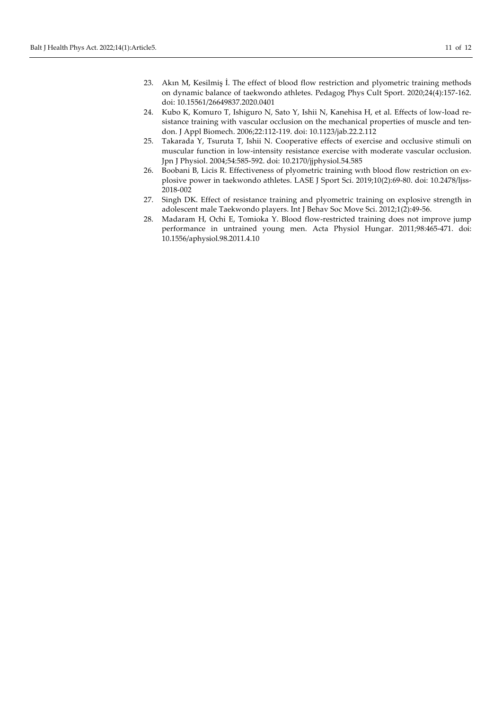- 24. Kubo K, Komuro T, Ishiguro N, Sato Y, Ishii N, Kanehisa H, et al. Effects of low-load resistance training with vascular occlusion on the mechanical properties of muscle and tendon. J Appl Biomech. 2006;22:112-119. doi: [10.1123/jab.22.2.112](https://doi.org/10.1123/jab.22.2.112)
- 25. Takarada Y, Tsuruta T, Ishii N. Cooperative effects of exercise and occlusive stimuli on muscular function in low-intensity resistance exercise with moderate vascular occlusion. Jpn J Physiol. 2004;54:585-592. doi[: 10.2170/jjphysiol.54.585](https://doi.org/10.2170/jjphysiol.54.585)
- 26. Boobani B, Licis R. Effectiveness of plyometric training wıth blood flow restriction on explosive power in taekwondo athletes. LASE J Sport Sci. 2019;10(2):69-80. doi: [10.2478/ljss-](https://doi.org/10.2478/ljss-2018-002)[2018-002](https://doi.org/10.2478/ljss-2018-002)
- 27. Singh DK. Effect of resistance training and plyometric training on explosive strength in adolescent male Taekwondo players. Int J Behav Soc Move Sci. 2012;1(2):49-56.
- 28. Madaram H, Ochi E, Tomioka Y. Blood flow-restricted training does not improve jump performance in untrained young men. Acta Physiol Hungar. 2011;98:465-471. doi: [10.1556/aphysiol.98.2011.4.10](https://doi.org/10.1556/APhysiol.98.2011.4.10)